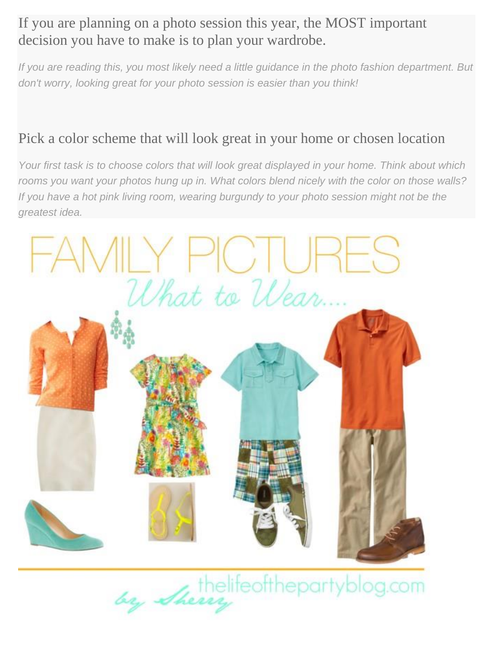## If you are planning on a photo session this year, the MOST important decision you have to make is to plan your wardrobe.

*If you are reading this, you most likely need a little guidance in the photo fashion department. But don't worry, looking great for your photo session is easier than you think!*

## Pick a color scheme that will look great in your home or chosen location

*Your first task is to choose colors that will look great displayed in your home. Think about which rooms you want your photos hung up in. What colors blend nicely with the color on those walls? If you have a hot pink living room, wearing burgundy to your photo session might not be the greatest idea.*



by Sherry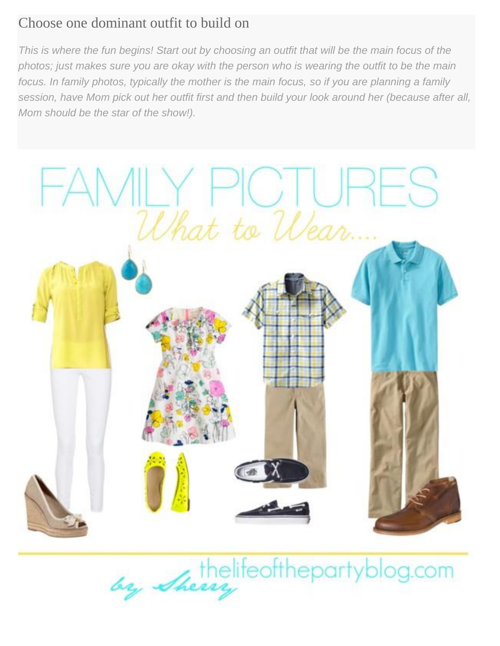## Choose one dominant outfit to build on

*This is where the fun begins! Start out by choosing an outfit that will be the main focus of the photos; just makes sure you are okay with the person who is wearing the outfit to be the main focus. In family photos, typically the mother is the main focus, so if you are planning a family session, have Mom pick out her outfit first and then build your look around her (because after all, Mom should be the star of the show!).*



thelifeofthepartyblog.com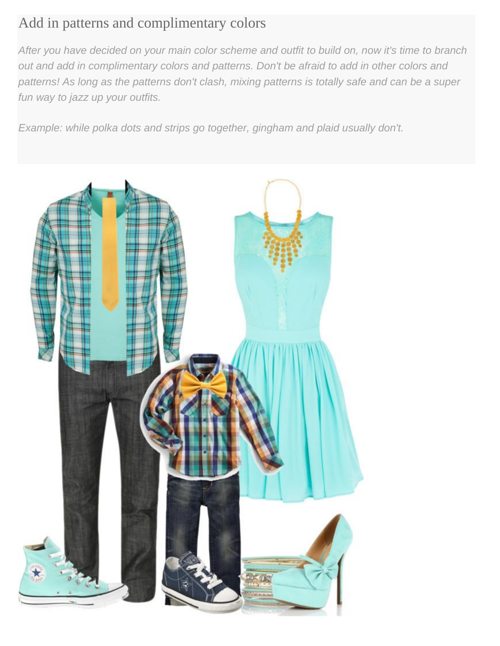## Add in patterns and complimentary colors

*After you have decided on your main color scheme and outfit to build on, now it's time to branch out and add in complimentary colors and patterns. Don't be afraid to add in other colors and patterns! As long as the patterns don't clash, mixing patterns is totally safe and can be a super fun way to jazz up your outfits.*

*Example: while polka dots and strips go together, gingham and plaid usually don't.*

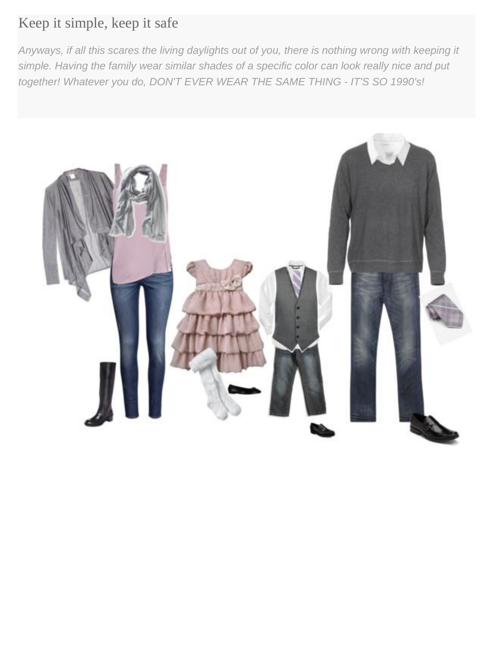# Keep it simple, keep it safe

*Anyways, if all this scares the living daylights out of you, there is nothing wrong with keeping it simple. Having the family wear similar shades of a specific color can look really nice and put together! Whatever you do, DON'T EVER WEAR THE SAME THING - IT'S SO 1990's!*